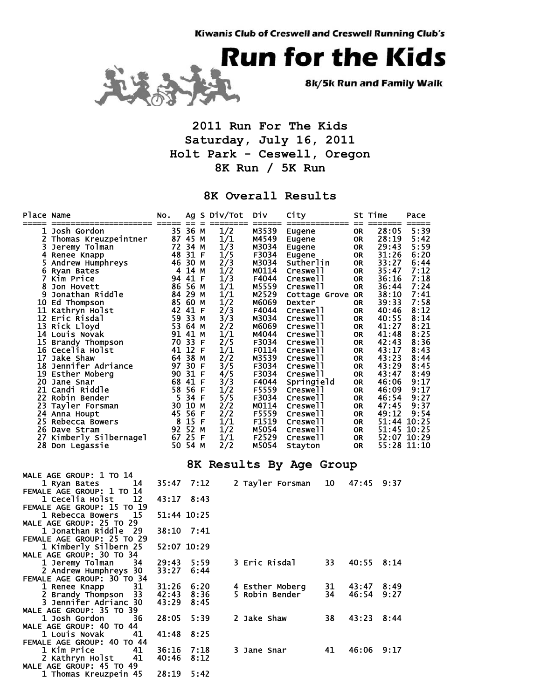

8k/5k Run and Family Walk

## **2011 Run For The Kids Saturday, July 16, 2011 Holt Park - Ceswell, Oregon 8K Run / 5K Run**

## **8K Overall Results**

| Place Name | :================== ===== == =                       | NO.                |         |      | Ag S Div/Tot | Div                     | City                       | ============  == | St Time   | =======        | Pace                       |
|------------|------------------------------------------------------|--------------------|---------|------|--------------|-------------------------|----------------------------|------------------|-----------|----------------|----------------------------|
|            | <b>1 Josh Gordon</b>                                 |                    | 35 36 M |      | 1/2          | M3539                   | Eugene                     |                  | <b>OR</b> | 28:05          | 5:39                       |
|            | 2 Thomas Kreuzpeintner                               | 87 45 M            |         |      | 1/1          | M4549                   | Eugene                     |                  | <b>OR</b> | 28:19          | 5:42                       |
|            | 3 Jeremy Tolman                                      | 72 34 M            |         |      | 1/3          | M3034                   | Eugene                     |                  | <b>OR</b> | 29:43          | 5:59                       |
|            | 4 Renee Knapp                                        | 48 31 F            |         |      | 1/5          | F3034                   | Eugene                     |                  | <b>OR</b> | 31:26          | 6:20                       |
|            | 5 Andrew Humphreys                                   | 46 30 M            |         |      | 2/3          | M3034                   | Sutherlin                  |                  | 0R        | 33:27          | 6:44                       |
|            | 6 Ryan Bates                                         | 4 14 M             |         |      | 1/2          | M0114                   | Creswell                   |                  | 0R        | 35:47          | 7:12                       |
|            | 7 Kim Price                                          |                    | 94 41 F |      | 1/3          | F4044                   | Creswell                   |                  | 0R        | 36:16          | 7:18                       |
| 8          | Jon Hovett                                           | 86 56 M            |         |      | 1/1          | M5559                   | Creswell                   |                  | 0R        | 36:44          | 7:24                       |
| 9          | Jonathan Riddle                                      | 84 29 M            |         |      | 1/1          | M2529                   | Cottage Grove OR           |                  |           | 38:10          | 7:41                       |
|            | 10 Ed Thompson                                       | 85 60 M<br>42 41 F |         |      | 1/2          | M6069                   | Dexter                     |                  | 0R        | 39:33          | 7:58<br>8:12               |
|            | 11 Kathryn Holst<br>12 Eric Risdal                   | 59 33 M            |         |      | 2/3<br>3/3   | F4044<br>M3034          | Creswell<br>Creswell       |                  | 0R<br>0R  | 40:46<br>40:55 | 8:14                       |
|            | 13 Rick Lloyd                                        |                    |         |      | 2/2          | M6069                   | Creswell                   |                  | 0R        | 41:27          | 8:21                       |
|            | 14 Louis Novak                                       | 53 64 M<br>91 41 M |         |      | 1/1          | M4044                   | Creswell                   |                  | 0R        | 41:48          | 8:25                       |
|            | 15 Brandy Thompson                                   | 70 33 F            |         |      | 2/5          | F3034                   | Creswell                   |                  | 0R        | 42:43          | 8:36                       |
|            | 16 Cecelia Holst                                     | 41 12 F            |         |      | 1/1          | F0114                   | Creswell                   |                  | 0R        | 43:17          | 8:43                       |
|            | 17 Jake Shaw                                         | 64 38 M            |         |      | 2/2          | M3539                   | Creswell                   |                  | 0R        | 43:23          | 8:44                       |
|            | 18 Jennifer Adriance                                 | 97 30 F            |         |      | 3/5          | F3034                   | Creswell                   |                  | 0R        | 43:29          | 8:45                       |
|            | 19 Esther Moberg                                     | 90 31 F            |         |      | 4/5          | F3034                   | Creswell                   |                  | 0R        | 43:47          | 8:49                       |
|            | 20 Jane Snar                                         | 68 41 F            |         |      | 3/3          | F4044                   | Springield                 |                  | 0R        | 46:06          | 9:17                       |
|            | 21 Candi Riddle                                      |                    | 58 56 F |      | 1/2          | F5559                   | Creswell                   |                  | 0R        | 46:09          | 9:17                       |
|            | 22 Robin Bender                                      | 5 34 F             |         |      | 5/5          | F3034                   | Creswell                   |                  | 0R        | 46:54          | 9:27                       |
|            | 23 Tayler Forsman                                    | 30 10 M            |         |      | 2/2          | M0114                   | Creswell                   |                  | 0R        | 47:45          | 9:37                       |
|            | 24 Anna Houpt                                        | 45 56 F            |         |      | 2/2          | F5559                   | Creswell                   |                  | 0R        | 49:12          | 9:54                       |
|            | 25 Rebecca Bowers                                    | 8 15 F             |         |      | 1/1          | F1519                   | Creswell                   |                  | 0R        |                | 51:44 10:25                |
|            | 26 Dave Stram                                        | 92 52 M<br>67 25 F |         |      | 1/2          | M5054                   | Creswell                   |                  | 0R        |                | 51:45 10:25                |
|            | 27 Kimberly Silbernagel<br>28 Don Legassie           | 50 54 M            |         |      | 1/1<br>2/2   | F2529<br>M5054          | Creswell<br><b>Stayton</b> |                  | OR<br>0R  |                | 52:07 10:29<br>55:28 11:10 |
|            |                                                      |                    |         |      |              |                         |                            |                  |           |                |                            |
|            |                                                      |                    |         |      |              | 8K Results By Age Group |                            |                  |           |                |                            |
|            | MALE AGE GROUP: 1 TO 14                              |                    |         |      |              |                         |                            |                  |           |                |                            |
|            | 14<br>1 Ryan Bates                                   | 35:47              |         | 7:12 |              | 2 Tayler Forsman        |                            | 10               | 47:45     | 9:37           |                            |
|            | FEMALE AGE GROUP: 1 TO 14                            |                    |         |      |              |                         |                            |                  |           |                |                            |
|            | 12<br>1 Cecelia Holst                                | 43:17              |         | 8:43 |              |                         |                            |                  |           |                |                            |
|            | FEMALE AGE GROUP: 15 TO 19<br>1 Rebecca Bowers<br>15 | 51:44 10:25        |         |      |              |                         |                            |                  |           |                |                            |
|            | MALE AGE GROUP: 25 TO 29                             |                    |         |      |              |                         |                            |                  |           |                |                            |
|            | 1 Jonathan Riddle<br>29                              | 38:10              |         | 7:41 |              |                         |                            |                  |           |                |                            |
|            | FEMALE AGE GROUP: 25 TO 29                           |                    |         |      |              |                         |                            |                  |           |                |                            |
|            | 1 Kimberly Silbern 25                                | 52:07 10:29        |         |      |              |                         |                            |                  |           |                |                            |
|            | MALE AGE GROUP: 30 TO 34                             |                    |         |      |              |                         |                            |                  |           |                |                            |
|            | 1 Jeremy Tolman<br>34                                | 29:43              |         | 5:59 |              | 3 Eric Risdal           |                            | 33               | 40:55     | 8:14           |                            |
|            | 2 Andrew Humphreys 30                                | 33:27              |         | 6:44 |              |                         |                            |                  |           |                |                            |
|            | FEMALE AGE GROUP: 30 TO 34                           |                    |         |      |              |                         |                            |                  |           |                |                            |
|            | 1 Renee Knapp<br>31                                  | 31:26              |         | 6:20 |              | 4 Esther Moberg         |                            | 31               | 43:47     | 8:49           |                            |
| 2          | 33<br>Brandy Thompson                                | 42:43              |         | 8:36 |              | 5 Robin Bender          |                            | 34               | 46:54     | 9:27           |                            |
| 3          | Jennifer Adrianc 30                                  | 43:29              |         | 8:45 |              |                         |                            |                  |           |                |                            |
|            | MALE AGE GROUP: 35 TO 39                             |                    |         |      |              |                         |                            |                  |           |                |                            |
|            | 1 Josh Gordon<br>36                                  | 28:05 5:39         |         |      |              | 2 Jake Shaw             |                            | 38               |           | 43:23 8:44     |                            |
|            | MALE AGE GROUP: 40 TO 44                             |                    |         |      |              |                         |                            |                  |           |                |                            |
|            | 1 Louis Novak<br>41<br>FEMALE AGE GROUP: 40 TO 44    | 41:48              | 8:25    |      |              |                         |                            |                  |           |                |                            |
|            | 1 Kim Price<br>41                                    | 36:16              |         | 7:18 |              | 3 Jane Snar             |                            | 41               |           | 46:06 9:17     |                            |
|            | 2 Kathryn Holst<br>41                                | 40:46              |         | 8:12 |              |                         |                            |                  |           |                |                            |
|            | MALE AGE GROUP: 45 TO 49                             |                    |         |      |              |                         |                            |                  |           |                |                            |
|            | 1 Thomas Kreuzpein 45                                | 28:19 5:42         |         |      |              |                         |                            |                  |           |                |                            |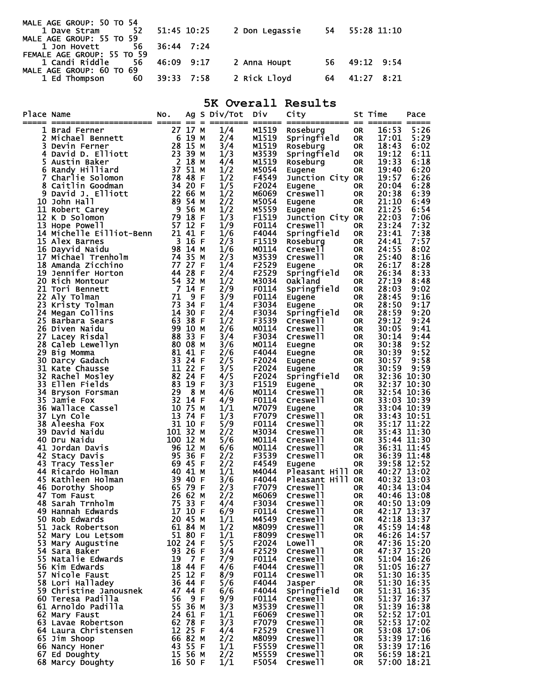| MALE AGE GROUP: 50 TO 54   |               |             |                               |     |               |  |
|----------------------------|---------------|-------------|-------------------------------|-----|---------------|--|
| 52<br>1 Dave Stram         |               | 51:45 10:25 | 2 Don Legassie 54 55:28 11:10 |     |               |  |
| MALE AGE GROUP: 55 TO 59   |               |             |                               |     |               |  |
| 1 Jon Hovett 56 36:44 7:24 |               |             |                               |     |               |  |
| FEMALE AGE GROUP: 55 TO 59 |               |             |                               |     |               |  |
| 1 Candi Riddle             | 56 46:09 9:17 |             | 2 Anna Houpt                  |     | 56 49:12 9:54 |  |
| MALE AGE GROUP: 60 TO 69   |               |             |                               |     |               |  |
| <b>1 Ed Thompson</b><br>60 | 39:33 7:58    |             | 2 Rick Lloyd                  | -64 | 41:27 8:21    |  |
|                            |               |             |                               |     |               |  |

## **5K Overall Results**

| Place Name | --------------------                     | NO.<br>=== == |                    | $=$      | Ag S Div/Tot                | Div<br>======  | City<br>==============        | $=$                    | St Time<br>===== | Pace<br>$=$                |
|------------|------------------------------------------|---------------|--------------------|----------|-----------------------------|----------------|-------------------------------|------------------------|------------------|----------------------------|
|            | 1 Brad Ferner                            | 27            | 17 M               |          | 1/4                         | M1519          | Roseburg                      | <b>OR</b>              | 16:53            | 5:26                       |
| 2          | Michael Bennett                          |               | 6 19 M             |          | 2/4                         | M1519          | Springfield                   | <b>OR</b>              | 17:01            | 5:29                       |
| 3          | Devin Ferner                             |               | 28 15 M            |          | 3/4                         | M1519          | Roseburg                      | <b>OR</b>              | 18:43            | 6:02                       |
| 4          | David D. Elliott                         |               | 23 39 M            |          | 1/3                         | M3539          | Springfield                   | <b>OR</b>              | 19:12            | 6:11                       |
| 5          | Austin Baker                             |               | 2 18 M             |          | 4/4                         | M1519          | Roseburg                      | <b>OR</b>              | 19:33            | 6:18                       |
| 6          | Randy Hilliard                           |               | $37\overline{51}$  | M        | 1/2                         | M5054          | Eugene                        | <b>OR</b>              | 19:40            | 6:20                       |
| 7          | Charlie Solomon                          | 78 48         |                    | -F       | 1/2                         | F4549          | Junction City OR              |                        | 19:57            | 6:26                       |
|            | 8 Caitlin Goodman                        |               | 34 20              | - F      | $\overline{1}/\overline{5}$ | F2024          | Eugene                        | <b>OR</b>              | 20:04            | 6:28                       |
| 9          | David J. Elliott                         |               | 22 66              | M        | 1/2                         | M6069          | Creswell                      | <b>OR</b>              | 20:38            | 6:39                       |
| 10         | John Hall                                |               | 89 54 M            |          | 2/2                         | M5054          | Eugene                        | <b>OR</b>              | 21:10            | 6:49                       |
|            | 11 Robert Carey                          | - 9           | - 56               | м        | 1/2                         | M5559          | Eugene                        | <b>OR</b>              | 21:25            | 6:54                       |
|            | 12 K D Solomon                           | 79 18         |                    | -F       | $\overline{1}/\overline{3}$ | F1519          | Junction City OR              |                        | 22:03            | 7:06                       |
| 13         | Hope Powell                              | 57 12 F       |                    |          | 1/9                         | F0114          | Creswell                      | <b>OR</b>              | 23:24            | 7:32                       |
|            | 14 Michelle Eilliot-Benn                 | 21 41 F       |                    |          | 1/6                         | F4044          | Springfield                   | <b>OR</b>              | 23:41            | 7:38                       |
|            | 15 Alex Barnes                           |               | $3 \quad 16$       | -F       | 2/3                         | F1519          | Roseburg<br>Creswell          | <b>OR</b>              | 24:41            | 7:57                       |
|            | 16 Dayvid Naidu                          |               | 98 14 M            |          | 1/6                         | M0114          |                               | <b>OR</b>              | 24:55            | 8:02                       |
| 17         | Michael Trenholm                         | 74 35         |                    | м        | 2/3                         | M3539          | Creswell                      | <b>OR</b>              | 25:40            | 8:16                       |
|            | 18 Amanda Zicchino<br>19 Jennifer Horton | 44 28         | 77 27              | F        | 1/4<br>2/4                  | F2529<br>F2529 | Eugene                        | <b>OR</b>              | 26:17<br>26:34   | 8:28<br>8:33               |
|            | 20 Rich Montour                          |               | 54 32              | -F       | 1/2                         | M3034          | Springfield<br><b>Oakland</b> | <b>OR</b>              | 27:19            | 8:48                       |
|            | 21 Tori Bennett                          |               | 7 14               | M<br>- F | 2/9                         | F0114          |                               | <b>OR</b>              | 28:03            | 9:02                       |
| 22         | Aly Tolman                               | 71            | 9                  | F        | 3/9                         | F0114          | Springfield                   | <b>OR</b><br><b>OR</b> | 28:45            | 9:16                       |
| 23         |                                          | 73            | 34 F               |          | 1/4                         | F3034          | Eugene                        | <b>OR</b>              | 28:50            | 9:17                       |
|            | Kristy Tolman<br>24 Megan Collins        |               | 14 30              | -F       | 2/4                         | F3034          | Eugene<br>Springfield         | <b>OR</b>              | 28:59            | 9:20                       |
|            | 25 Barbara Sears                         |               | 63 38              | - F      | 1/2                         | F3539          | Creswell                      | <b>OR</b>              | 29:12            | 9:24                       |
|            | 26 Diven Naidu                           |               | 99 10              | м        | 2/6                         | M0114          | Creswell                      | <b>OR</b>              | 30:05            | 9:41                       |
|            | 27 Lacey Risdal                          | 88 33         |                    | - F      | 3/4                         | F3034          | Creswell                      | <b>OR</b>              | 30:14            | 9:44                       |
| 28         |                                          | 80 08         |                    | M        | 3/6                         | M0114          |                               | <b>OR</b>              | 30:38            | 9:52                       |
| 29         | Caleb Lewellyn<br>Big Momma              |               | 81 41 F            |          | 2/6                         | F4044          | Euegne<br>Euegne              | <b>OR</b>              | 30:39            | 9:52                       |
| 30         | Darcy Gadach                             |               | 33 24 F            |          | 2/5                         | F2024          | Eugene                        | <b>OR</b>              | 30:57            | 9:58                       |
|            | 31 Kate Chausse                          |               | 11 22              | - F      | $\overline{3}/\overline{5}$ | F2024          | Eugene                        | <b>OR</b>              | 30:59            | 9:59                       |
| 32         | Rachel Mosley                            |               | 82 24 F            |          | 4/5                         | F2024          | Springfield                   | <b>OR</b>              | 32:36            | 10:30                      |
| 33         | Ellen Fields                             | 83            | 19 F               |          | 3/3                         | F1519          | Eugene                        | <b>OR</b>              |                  | 32:37 10:30                |
| 34         | Bryson Forsman                           | 29            | 8                  | M        | 4/6                         | M0114          | Creswell                      | <b>OR</b>              |                  | 32:54 10:36                |
| 35         | Jamie Fox                                | 32            | 14 F               |          | 4/9                         | F0114          | Creswell                      | <b>OR</b>              |                  | 33:03 10:39                |
| 36         | Wallace Cassel                           | 10 75         |                    | м        | 1/1                         | M7079          | Eugene                        | <b>OR</b>              |                  | 33:04 10:39                |
| 37         | Lyn Cole                                 | 13            | 74 F               |          | 1/3                         | F7079          | Creswell                      | <b>OR</b>              |                  | 33:43 10:51                |
| 38         | Aleesha Fox                              |               | 31 10              | F        | 5/9                         | F0114          | Creswell                      | <b>OR</b>              | 35:17 11:22      |                            |
| 39         | David Naidu                              | 101 32        |                    | м        | 2/2                         | M3034          | Creswell                      | <b>OR</b>              |                  | 35:43 11:30                |
|            | 40 Dru Naidu                             | 100 12        |                    | м        | 5/6                         | M0114          | Creswell                      | <b>OR</b>              |                  | 35:44 11:30                |
|            | 41 Jordan Davis                          |               | 96 12              | м        | 6/6                         | M0114          | Creswell                      | <b>OR</b>              |                  | 36:31 11:45                |
|            | 42 Stacy Davis                           |               | 95 36              | -F       | 2/2                         | F3539          | Creswell                      | <b>OR</b>              |                  | 36:39 11:48                |
|            | 43 Tracy Tessler                         |               | 69 45              | -F       | 2/2                         | F4549          | Eugene                        | <b>OR</b>              | 39:58 12:52      |                            |
|            | 44 Ricardo Holman                        | 40 41         |                    | м        | 1/1                         | M4044          | Pleasant Hill                 | <b>OR</b>              | 40:27 13:02      |                            |
|            | 45 Kathleen Holman                       |               | 39 40              | F        | 3/6                         | F4044          | Pleasant Hill                 | <b>OR</b>              | 40:32 13:03      |                            |
|            | 46 Dorothy Shoop                         |               | 65 79              | F        | 2/3                         | F7079          | Creswell                      | <b>OR</b>              | 40:34 13:04      |                            |
|            | 47 Tom Faust                             | 26            | 62                 | М        | 2/2                         | M6069          | Creswell                      | <b>OR</b>              | 40:46 13:08      |                            |
|            | 48 Sarah Trnholm                         | 75 33         |                    | F        | 4/4                         | F3034          | Creswell                      | <b>OR</b>              |                  | $40:50$ 13:09              |
|            | 49 Hannah Edwards                        |               | 17 10 F            |          | 6/9                         | F0114          | Creswell                      | <b>OR</b>              |                  | 42:17 13:37                |
|            | 50 Rob Edwards                           |               | 20 45 M            |          | 1/1                         | M4549          | Creswell                      | 0R                     | 42:18 13:37      |                            |
|            | 51 Jack Robertson                        |               | 61 84 M            |          | 1/2                         | M8099          | Creswell                      | 0R                     |                  | 45:59 14:48                |
|            | 52 Mary Lou Letsom                       |               | 51 80 F            |          | 1/1                         | F8099          | Creswell                      | 0R                     |                  | 46:26 14:57                |
|            | 53 Mary Augustine                        | 102 24 F      |                    |          | 5/5                         | F2024          | Lowe <sub>11</sub>            | 0R                     |                  | 47:36 15:20                |
|            | 54 Sara Baker                            |               | 93 26 F            |          | 3/4                         | F2529          | Creswell                      | <b>OR</b>              |                  | 47:37 15:20                |
|            | 55 Natalie Edwards                       | 19            | 7 F                |          | 7/9                         | F0114          | Creswell                      | <b>OR</b>              |                  | 51:04 16:26                |
|            | 56 Kim Edwards                           |               | 18 44 F            |          | 4/6                         | F4044          | Creswell                      | <b>OR</b>              |                  | 51:05 16:27                |
|            | 57 Nicole Faust                          |               | 25 12 F            |          | 8/9                         | F0114          | Creswell                      | <b>OR</b>              |                  | 51:30 16:35                |
|            | 58 Lori Halladey                         |               | 36 44 F            |          | 5/6                         | F4044          | Jasper                        | <b>OR</b>              |                  | 51:30 16:35                |
|            | 59 Christine Janousnek                   |               | 47 44 F            |          | 6/6                         | F4044          | Springfield                   | <b>OR</b>              |                  | 51:31 16:35                |
|            | 60 Teresa Padilla                        | 56            | 9 F                |          | $\frac{9}{3}$               | F0114          | Creswell                      | <b>OR</b>              | 51:37 16:37      |                            |
|            | 61 Arnoldo Padilla                       |               | 55 36 M            |          |                             | M3539          | Creswell                      | <b>OR</b>              |                  | 51:39 16:38                |
|            | 62 Mary Faust                            |               | 24 61 F            |          | 1/1                         | F6069          | Creswell                      | <b>OR</b>              |                  | 52:52 17:01                |
|            | 63 Lavae Robertson                       |               | 62 78 F            |          | 3/3                         | F7079          | Creswell                      | <b>OR</b>              |                  | 52:53 17:02                |
|            | 64 Laura Christensen                     |               | 12 25 F            |          | 4/4                         | F2529          | Creswell                      | <b>OR</b>              |                  | 53:08 17:06                |
|            | 65 Jim Shoop                             |               | 66 82 M<br>43 55 F |          | 2/2                         | M8099          | Creswell                      | <b>OR</b>              |                  | 53:39 17:16<br>53:39 17:16 |
|            | 66 Nancy Honer                           |               | 15 56 M            |          | 1/1                         | F5559          | Creswell                      | <b>OR</b>              |                  | 56:59 18:21                |
|            | 67 Ed Doughty                            |               | 16 50 F            |          | 2/2<br>1/1                  | M5559<br>F5054 | Creswell<br>Creswell          | <b>OR</b><br>0R        |                  | 57:00 18:21                |
|            | 68 Marcy Doughty                         |               |                    |          |                             |                |                               |                        |                  |                            |